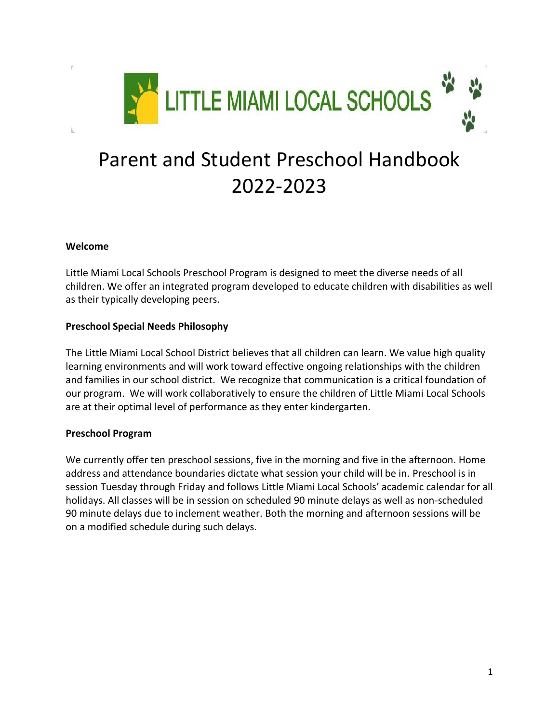

# Parent and Student Preschool Handbook 2022-2023

## **Welcome**

Little Miami Local Schools Preschool Program is designed to meet the diverse needs of all children. We offer an integrated program developed to educate children with disabilities as well as their typically developing peers.

## **Preschool Special Needs Philosophy**

The Little Miami Local School District believes that all children can learn. We value high quality learning environments and will work toward effective ongoing relationships with the children and families in our school district. We recognize that communication is a critical foundation of our program. We will work collaboratively to ensure the children of Little Miami Local Schools are at their optimal level of performance as they enter kindergarten.

# **Preschool Program**

We currently offer ten preschool sessions, five in the morning and five in the afternoon. Home address and attendance boundaries dictate what session your child will be in. Preschool is in session Tuesday through Friday and follows Little Miami Local Schools' academic calendar for all holidays. All classes will be in session on scheduled 90 minute delays as well as non-scheduled 90 minute delays due to inclement weather. Both the morning and afternoon sessions will be on a modified schedule during such delays.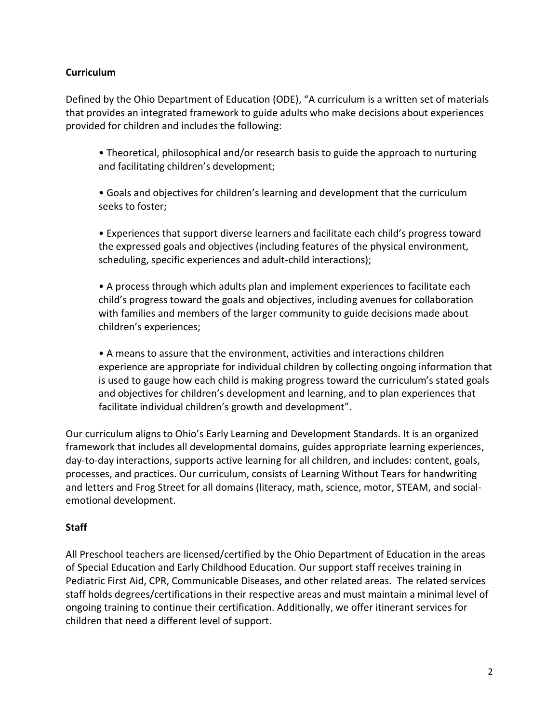# **Curriculum**

Defined by the Ohio Department of Education (ODE), "A curriculum is a written set of materials that provides an integrated framework to guide adults who make decisions about experiences provided for children and includes the following:

• Theoretical, philosophical and/or research basis to guide the approach to nurturing and facilitating children's development;

• Goals and objectives for children's learning and development that the curriculum seeks to foster;

• Experiences that support diverse learners and facilitate each child's progress toward the expressed goals and objectives (including features of the physical environment, scheduling, specific experiences and adult-child interactions);

• A process through which adults plan and implement experiences to facilitate each child's progress toward the goals and objectives, including avenues for collaboration with families and members of the larger community to guide decisions made about children's experiences;

• A means to assure that the environment, activities and interactions children experience are appropriate for individual children by collecting ongoing information that is used to gauge how each child is making progress toward the curriculum's stated goals and objectives for children's development and learning, and to plan experiences that facilitate individual children's growth and development".

Our curriculum aligns to Ohio's Early Learning and Development Standards. It is an organized framework that includes all developmental domains, guides appropriate learning experiences, day-to-day interactions, supports active learning for all children, and includes: content, goals, processes, and practices. Our curriculum, consists of Learning Without Tears for handwriting and letters and Frog Street for all domains (literacy, math, science, motor, STEAM, and socialemotional development.

# **Staff**

All Preschool teachers are licensed/certified by the Ohio Department of Education in the areas of Special Education and Early Childhood Education. Our support staff receives training in Pediatric First Aid, CPR, Communicable Diseases, and other related areas. The related services staff holds degrees/certifications in their respective areas and must maintain a minimal level of ongoing training to continue their certification. Additionally, we offer itinerant services for children that need a different level of support.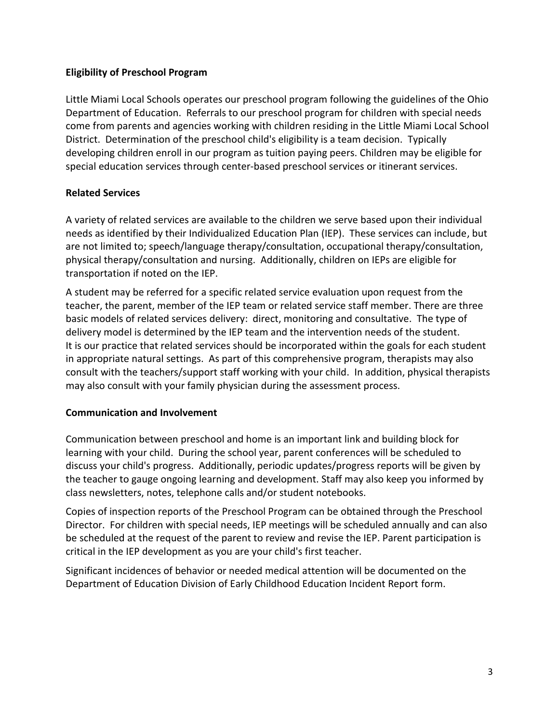## **Eligibility of Preschool Program**

Little Miami Local Schools operates our preschool program following the guidelines of the Ohio Department of Education. Referrals to our preschool program for children with special needs come from parents and agencies working with children residing in the Little Miami Local School District. Determination of the preschool child's eligibility is a team decision. Typically developing children enroll in our program as tuition paying peers. Children may be eligible for special education services through center-based preschool services or itinerant services.

# **Related Services**

A variety of related services are available to the children we serve based upon their individual needs as identified by their Individualized Education Plan (IEP). These services can include, but are not limited to; speech/language therapy/consultation, occupational therapy/consultation, physical therapy/consultation and nursing. Additionally, children on IEPs are eligible for transportation if noted on the IEP.

A student may be referred for a specific related service evaluation upon request from the teacher, the parent, member of the IEP team or related service staff member. There are three basic models of related services delivery: direct, monitoring and consultative. The type of delivery model is determined by the IEP team and the intervention needs of the student. It is our practice that related services should be incorporated within the goals for each student in appropriate natural settings. As part of this comprehensive program, therapists may also consult with the teachers/support staff working with your child. In addition, physical therapists may also consult with your family physician during the assessment process.

#### **Communication and Involvement**

Communication between preschool and home is an important link and building block for learning with your child. During the school year, parent conferences will be scheduled to discuss your child's progress. Additionally, periodic updates/progress reports will be given by the teacher to gauge ongoing learning and development. Staff may also keep you informed by class newsletters, notes, telephone calls and/or student notebooks.

Copies of inspection reports of the Preschool Program can be obtained through the Preschool Director. For children with special needs, IEP meetings will be scheduled annually and can also be scheduled at the request of the parent to review and revise the IEP. Parent participation is critical in the IEP development as you are your child's first teacher.

Significant incidences of behavior or needed medical attention will be documented on the Department of Education Division of Early Childhood Education Incident Report form.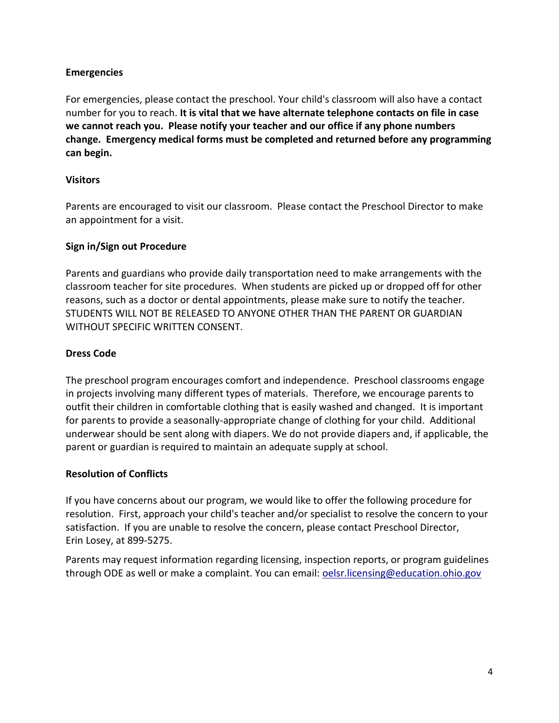## **Emergencies**

For emergencies, please contact the preschool. Your child's classroom will also have a contact number for you to reach. **It is vital that we have alternate telephone contacts on file in case we cannot reach you. Please notify your teacher and our office if any phone numbers change. Emergency medical forms must be completed and returned before any programming can begin.**

## **Visitors**

Parents are encouraged to visit our classroom. Please contact the Preschool Director to make an appointment for a visit.

# **Sign in/Sign out Procedure**

Parents and guardians who provide daily transportation need to make arrangements with the classroom teacher for site procedures. When students are picked up or dropped off for other reasons, such as a doctor or dental appointments, please make sure to notify the teacher. STUDENTS WILL NOT BE RELEASED TO ANYONE OTHER THAN THE PARENT OR GUARDIAN WITHOUT SPECIFIC WRITTEN CONSENT.

# **Dress Code**

The preschool program encourages comfort and independence. Preschool classrooms engage in projects involving many different types of materials. Therefore, we encourage parents to outfit their children in comfortable clothing that is easily washed and changed. It is important for parents to provide a seasonally-appropriate change of clothing for your child. Additional underwear should be sent along with diapers. We do not provide diapers and, if applicable, the parent or guardian is required to maintain an adequate supply at school.

#### **Resolution of Conflicts**

If you have concerns about our program, we would like to offer the following procedure for resolution. First, approach your child's teacher and/or specialist to resolve the concern to your satisfaction. If you are unable to resolve the concern, please contact Preschool Director, Erin Losey, at 899-5275.

Parents may request information regarding licensing, inspection reports, or program guidelines through ODE as well or make a complaint. You can email: [oelsr.licensing@education.ohio.gov](mailto:oelsr.licensing@education.ohio.gov)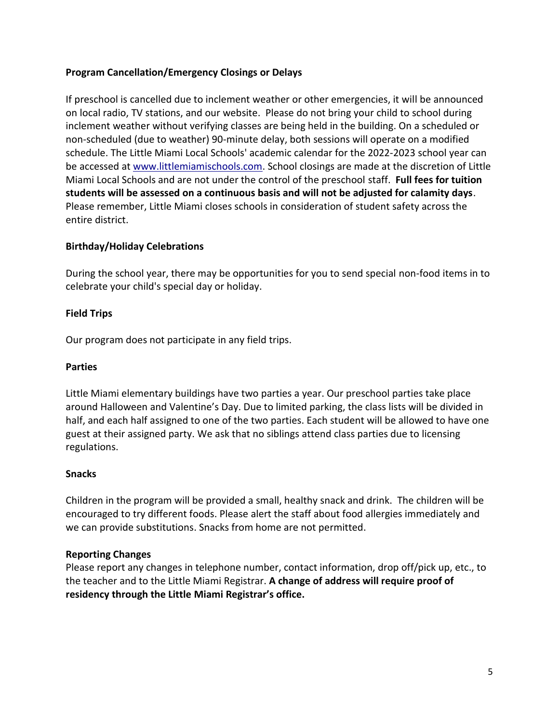# **Program Cancellation/Emergency Closings or Delays**

If preschool is cancelled due to inclement weather or other emergencies, it will be announced on local radio, TV stations, and our website. Please do not bring your child to school during inclement weather without verifying classes are being held in the building. On a scheduled or non-scheduled (due to weather) 90-minute delay, both sessions will operate on a modified schedule. The Little Miami Local Schools' academic calendar for the 2022-2023 school year can be accessed a[t www.littlemiamischools.com.](http://www.littlemiamischools.com/) School closings are made at the discretion of Little Miami Local Schools and are not under the control of the preschool staff. **Full fees for tuition students will be assessed on a continuous basis and will not be adjusted for calamity days**. Please remember, Little Miami closes schools in consideration of student safety across the entire district.

# **Birthday/Holiday Celebrations**

During the school year, there may be opportunities for you to send special non-food items in to celebrate your child's special day or holiday.

# **Field Trips**

Our program does not participate in any field trips.

# **Parties**

Little Miami elementary buildings have two parties a year. Our preschool parties take place around Halloween and Valentine's Day. Due to limited parking, the class lists will be divided in half, and each half assigned to one of the two parties. Each student will be allowed to have one guest at their assigned party. We ask that no siblings attend class parties due to licensing regulations.

# **Snacks**

Children in the program will be provided a small, healthy snack and drink. The children will be encouraged to try different foods. Please alert the staff about food allergies immediately and we can provide substitutions. Snacks from home are not permitted.

# **Reporting Changes**

Please report any changes in telephone number, contact information, drop off/pick up, etc., to the teacher and to the Little Miami Registrar. **A change of address will require proof of residency through the Little Miami Registrar's office.**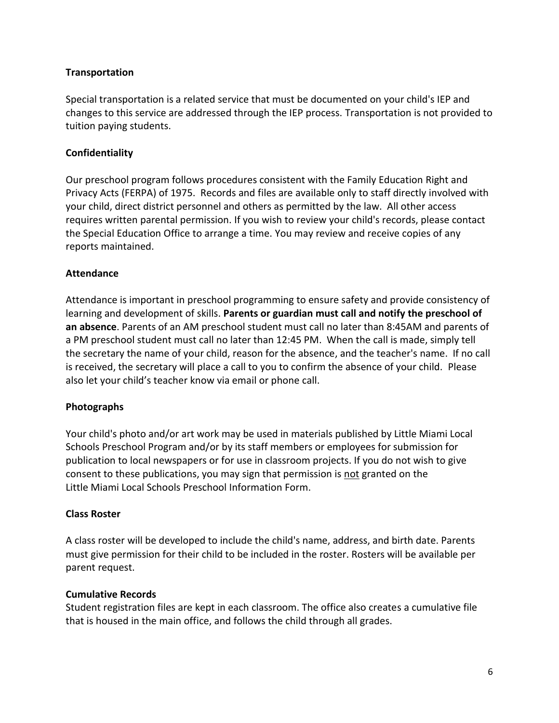## **Transportation**

Special transportation is a related service that must be documented on your child's IEP and changes to this service are addressed through the IEP process. Transportation is not provided to tuition paying students.

## **Confidentiality**

Our preschool program follows procedures consistent with the Family Education Right and Privacy Acts (FERPA) of 1975. Records and files are available only to staff directly involved with your child, direct district personnel and others as permitted by the law. All other access requires written parental permission. If you wish to review your child's records, please contact the Special Education Office to arrange a time. You may review and receive copies of any reports maintained.

## **Attendance**

Attendance is important in preschool programming to ensure safety and provide consistency of learning and development of skills. **Parents or guardian must call and notify the preschool of an absence**. Parents of an AM preschool student must call no later than 8:45AM and parents of a PM preschool student must call no later than 12:45 PM. When the call is made, simply tell the secretary the name of your child, reason for the absence, and the teacher's name. If no call is received, the secretary will place a call to you to confirm the absence of your child. Please also let your child's teacher know via email or phone call.

#### **Photographs**

Your child's photo and/or art work may be used in materials published by Little Miami Local Schools Preschool Program and/or by its staff members or employees for submission for publication to local newspapers or for use in classroom projects. If you do not wish to give consent to these publications, you may sign that permission is not granted on the Little Miami Local Schools Preschool Information Form.

#### **Class Roster**

A class roster will be developed to include the child's name, address, and birth date. Parents must give permission for their child to be included in the roster. Rosters will be available per parent request.

#### **Cumulative Records**

Student registration files are kept in each classroom. The office also creates a cumulative file that is housed in the main office, and follows the child through all grades.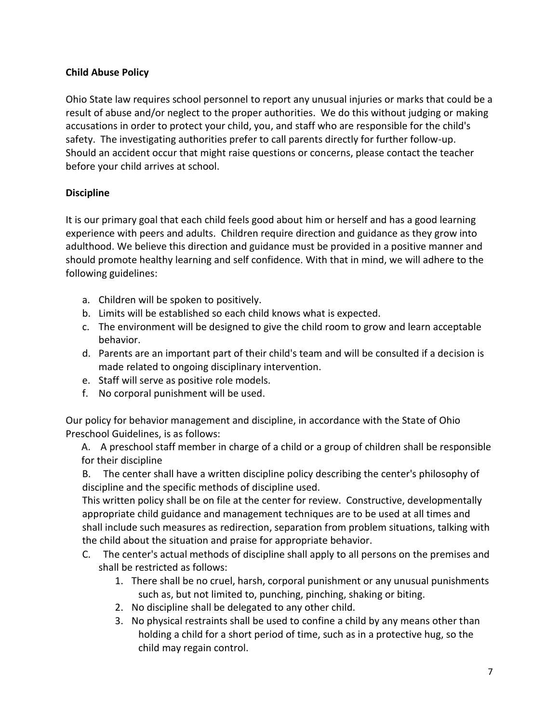# **Child Abuse Policy**

Ohio State law requires school personnel to report any unusual injuries or marks that could be a result of abuse and/or neglect to the proper authorities. We do this without judging or making accusations in order to protect your child, you, and staff who are responsible for the child's safety. The investigating authorities prefer to call parents directly for further follow-up. Should an accident occur that might raise questions or concerns, please contact the teacher before your child arrives at school.

# **Discipline**

It is our primary goal that each child feels good about him or herself and has a good learning experience with peers and adults. Children require direction and guidance as they grow into adulthood. We believe this direction and guidance must be provided in a positive manner and should promote healthy learning and self confidence. With that in mind, we will adhere to the following guidelines:

- a. Children will be spoken to positively.
- b. Limits will be established so each child knows what is expected.
- c. The environment will be designed to give the child room to grow and learn acceptable behavior.
- d. Parents are an important part of their child's team and will be consulted if a decision is made related to ongoing disciplinary intervention.
- e. Staff will serve as positive role models.
- f. No corporal punishment will be used.

Our policy for behavior management and discipline, in accordance with the State of Ohio Preschool Guidelines, is as follows:

A. A preschool staff member in charge of a child or a group of children shall be responsible for their discipline

B. The center shall have a written discipline policy describing the center's philosophy of discipline and the specific methods of discipline used.

This written policy shall be on file at the center for review. Constructive, developmentally appropriate child guidance and management techniques are to be used at all times and shall include such measures as redirection, separation from problem situations, talking with the child about the situation and praise for appropriate behavior.

- C. The center's actual methods of discipline shall apply to all persons on the premises and shall be restricted as follows:
	- 1. There shall be no cruel, harsh, corporal punishment or any unusual punishments such as, but not limited to, punching, pinching, shaking or biting.
	- 2. No discipline shall be delegated to any other child.
	- 3. No physical restraints shall be used to confine a child by any means other than holding a child for a short period of time, such as in a protective hug, so the child may regain control.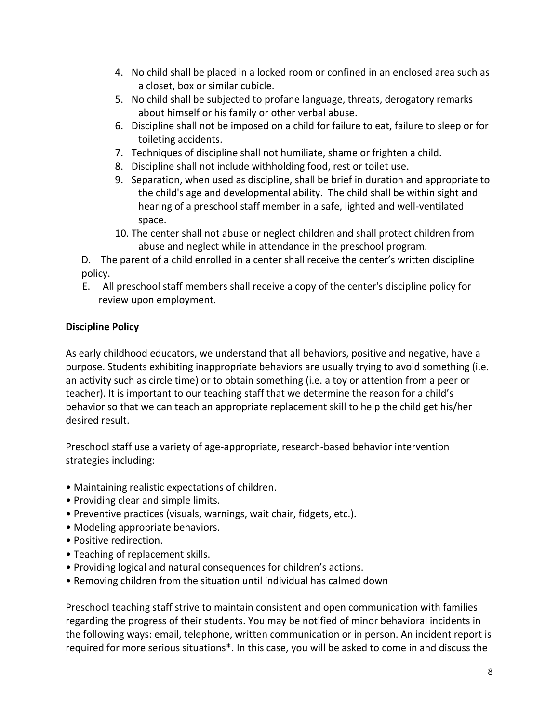- 4. No child shall be placed in a locked room or confined in an enclosed area such as a closet, box or similar cubicle.
- 5. No child shall be subjected to profane language, threats, derogatory remarks about himself or his family or other verbal abuse.
- 6. Discipline shall not be imposed on a child for failure to eat, failure to sleep or for toileting accidents.
- 7. Techniques of discipline shall not humiliate, shame or frighten a child.
- 8. Discipline shall not include withholding food, rest or toilet use.
- 9. Separation, when used as discipline, shall be brief in duration and appropriate to the child's age and developmental ability. The child shall be within sight and hearing of a preschool staff member in a safe, lighted and well-ventilated space.
- 10. The center shall not abuse or neglect children and shall protect children from abuse and neglect while in attendance in the preschool program.

D. The parent of a child enrolled in a center shall receive the center's written discipline policy.

E. All preschool staff members shall receive a copy of the center's discipline policy for review upon employment.

# **Discipline Policy**

As early childhood educators, we understand that all behaviors, positive and negative, have a purpose. Students exhibiting inappropriate behaviors are usually trying to avoid something (i.e. an activity such as circle time) or to obtain something (i.e. a toy or attention from a peer or teacher). It is important to our teaching staff that we determine the reason for a child's behavior so that we can teach an appropriate replacement skill to help the child get his/her desired result.

Preschool staff use a variety of age-appropriate, research-based behavior intervention strategies including:

- Maintaining realistic expectations of children.
- Providing clear and simple limits.
- Preventive practices (visuals, warnings, wait chair, fidgets, etc.).
- Modeling appropriate behaviors.
- Positive redirection.
- Teaching of replacement skills.
- Providing logical and natural consequences for children's actions.
- Removing children from the situation until individual has calmed down

Preschool teaching staff strive to maintain consistent and open communication with families regarding the progress of their students. You may be notified of minor behavioral incidents in the following ways: email, telephone, written communication or in person. An incident report is required for more serious situations\*. In this case, you will be asked to come in and discuss the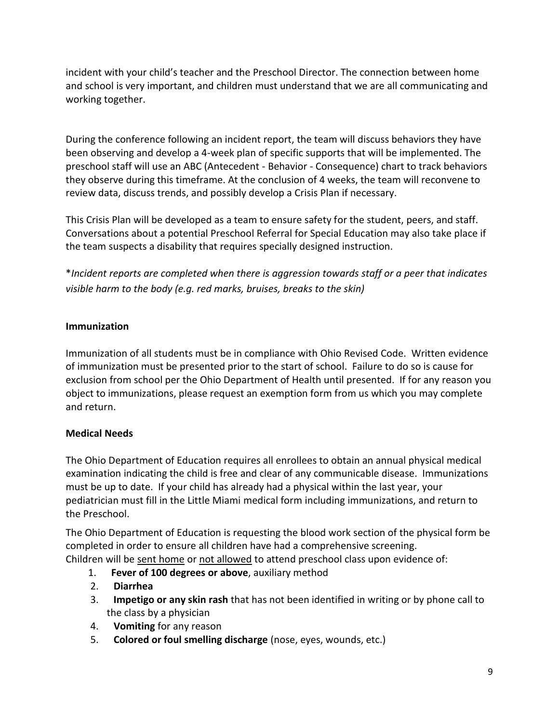incident with your child's teacher and the Preschool Director. The connection between home and school is very important, and children must understand that we are all communicating and working together.

During the conference following an incident report, the team will discuss behaviors they have been observing and develop a 4-week plan of specific supports that will be implemented. The preschool staff will use an ABC (Antecedent - Behavior - Consequence) chart to track behaviors they observe during this timeframe. At the conclusion of 4 weeks, the team will reconvene to review data, discuss trends, and possibly develop a Crisis Plan if necessary.

This Crisis Plan will be developed as a team to ensure safety for the student, peers, and staff. Conversations about a potential Preschool Referral for Special Education may also take place if the team suspects a disability that requires specially designed instruction.

\**Incident reports are completed when there is aggression towards staff or a peer that indicates visible harm to the body (e.g. red marks, bruises, breaks to the skin)* 

# **Immunization**

Immunization of all students must be in compliance with Ohio Revised Code. Written evidence of immunization must be presented prior to the start of school. Failure to do so is cause for exclusion from school per the Ohio Department of Health until presented. If for any reason you object to immunizations, please request an exemption form from us which you may complete and return.

# **Medical Needs**

The Ohio Department of Education requires all enrollees to obtain an annual physical medical examination indicating the child is free and clear of any communicable disease. Immunizations must be up to date. If your child has already had a physical within the last year, your pediatrician must fill in the Little Miami medical form including immunizations, and return to the Preschool.

The Ohio Department of Education is requesting the blood work section of the physical form be completed in order to ensure all children have had a comprehensive screening. Children will be sent home or not allowed to attend preschool class upon evidence of:

- 1. **Fever of 100 degrees or above**, auxiliary method
- 2. **Diarrhea**
- 3. **Impetigo or any skin rash** that has not been identified in writing or by phone call to the class by a physician
- 4. **Vomiting** for any reason
- 5. **Colored or foul smelling discharge** (nose, eyes, wounds, etc.)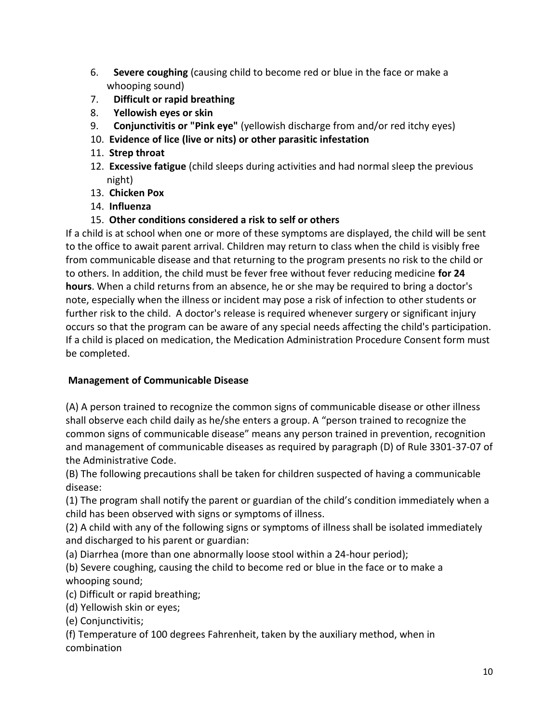- 6. **Severe coughing** (causing child to become red or blue in the face or make a whooping sound)
- 7. **Difficult or rapid breathing**
- 8. **Yellowish eyes or skin**
- 9. **Conjunctivitis or "Pink eye"** (yellowish discharge from and/or red itchy eyes)
- 10. **Evidence of lice (live or nits) or other parasitic infestation**
- 11. **Strep throat**
- 12. **Excessive fatigue** (child sleeps during activities and had normal sleep the previous night)
- 13. **Chicken Pox**
- 14. **Influenza**

# 15. **Other conditions considered a risk to self or others**

If a child is at school when one or more of these symptoms are displayed, the child will be sent to the office to await parent arrival. Children may return to class when the child is visibly free from communicable disease and that returning to the program presents no risk to the child or to others. In addition, the child must be fever free without fever reducing medicine **for 24 hours**. When a child returns from an absence, he or she may be required to bring a doctor's note, especially when the illness or incident may pose a risk of infection to other students or further risk to the child. A doctor's release is required whenever surgery or significant injury occurs so that the program can be aware of any special needs affecting the child's participation. If a child is placed on medication, the Medication Administration Procedure Consent form must be completed.

# **Management of Communicable Disease**

(A) A person trained to recognize the common signs of communicable disease or other illness shall observe each child daily as he/she enters a group. A "person trained to recognize the common signs of communicable disease" means any person trained in prevention, recognition and management of communicable diseases as required by paragraph (D) of Rule 3301-37-07 of the Administrative Code.

(B) The following precautions shall be taken for children suspected of having a communicable disease:

(1) The program shall notify the parent or guardian of the child's condition immediately when a child has been observed with signs or symptoms of illness.

(2) A child with any of the following signs or symptoms of illness shall be isolated immediately and discharged to his parent or guardian:

(a) Diarrhea (more than one abnormally loose stool within a 24-hour period);

(b) Severe coughing, causing the child to become red or blue in the face or to make a whooping sound;

(c) Difficult or rapid breathing;

(d) Yellowish skin or eyes;

(e) Conjunctivitis;

(f) Temperature of 100 degrees Fahrenheit, taken by the auxiliary method, when in combination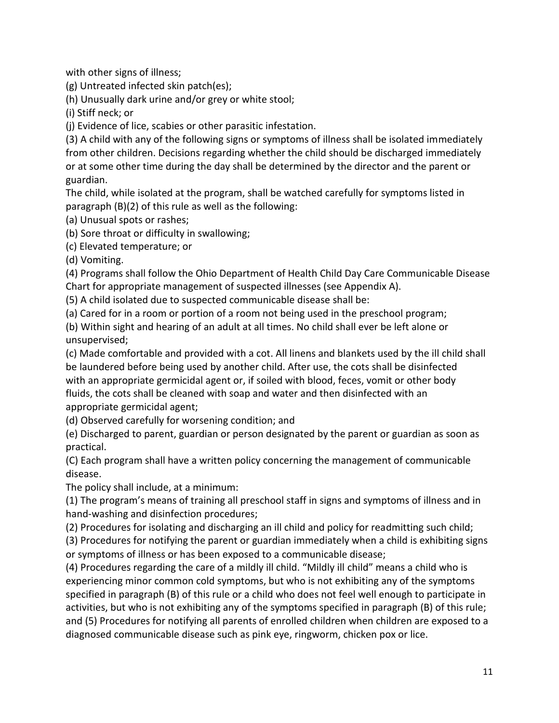with other signs of illness;

(g) Untreated infected skin patch(es);

(h) Unusually dark urine and/or grey or white stool;

(i) Stiff neck; or

(j) Evidence of lice, scabies or other parasitic infestation.

(3) A child with any of the following signs or symptoms of illness shall be isolated immediately from other children. Decisions regarding whether the child should be discharged immediately or at some other time during the day shall be determined by the director and the parent or guardian.

The child, while isolated at the program, shall be watched carefully for symptoms listed in paragraph (B)(2) of this rule as well as the following:

(a) Unusual spots or rashes;

(b) Sore throat or difficulty in swallowing;

(c) Elevated temperature; or

(d) Vomiting.

(4) Programs shall follow the Ohio Department of Health Child Day Care Communicable Disease Chart for appropriate management of suspected illnesses (see Appendix A).

(5) A child isolated due to suspected communicable disease shall be:

(a) Cared for in a room or portion of a room not being used in the preschool program;

(b) Within sight and hearing of an adult at all times. No child shall ever be left alone or unsupervised;

(c) Made comfortable and provided with a cot. All linens and blankets used by the ill child shall be laundered before being used by another child. After use, the cots shall be disinfected with an appropriate germicidal agent or, if soiled with blood, feces, vomit or other body fluids, the cots shall be cleaned with soap and water and then disinfected with an appropriate germicidal agent;

(d) Observed carefully for worsening condition; and

(e) Discharged to parent, guardian or person designated by the parent or guardian as soon as practical.

(C) Each program shall have a written policy concerning the management of communicable disease.

The policy shall include, at a minimum:

(1) The program's means of training all preschool staff in signs and symptoms of illness and in hand-washing and disinfection procedures;

(2) Procedures for isolating and discharging an ill child and policy for readmitting such child;

(3) Procedures for notifying the parent or guardian immediately when a child is exhibiting signs or symptoms of illness or has been exposed to a communicable disease;

(4) Procedures regarding the care of a mildly ill child. "Mildly ill child" means a child who is experiencing minor common cold symptoms, but who is not exhibiting any of the symptoms specified in paragraph (B) of this rule or a child who does not feel well enough to participate in activities, but who is not exhibiting any of the symptoms specified in paragraph (B) of this rule; and (5) Procedures for notifying all parents of enrolled children when children are exposed to a diagnosed communicable disease such as pink eye, ringworm, chicken pox or lice.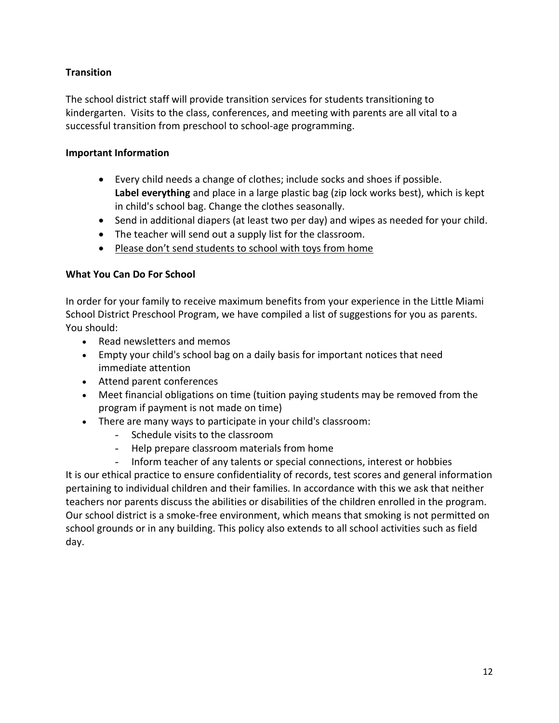# **Transition**

The school district staff will provide transition services for students transitioning to kindergarten. Visits to the class, conferences, and meeting with parents are all vital to a successful transition from preschool to school-age programming.

# **Important Information**

- Every child needs a change of clothes; include socks and shoes if possible. **Label everything** and place in a large plastic bag (zip lock works best), which is kept in child's school bag. Change the clothes seasonally.
- Send in additional diapers (at least two per day) and wipes as needed for your child.
- The teacher will send out a supply list for the classroom.
- Please don't send students to school with toys from home

# **What You Can Do For School**

In order for your family to receive maximum benefits from your experience in the Little Miami School District Preschool Program, we have compiled a list of suggestions for you as parents. You should:

- Read newsletters and memos
- Empty your child's school bag on a daily basis for important notices that need immediate attention
- Attend parent conferences
- Meet financial obligations on time (tuition paying students may be removed from the program if payment is not made on time)
- There are many ways to participate in your child's classroom:
	- Schedule visits to the classroom
	- Help prepare classroom materials from home
	- Inform teacher of any talents or special connections, interest or hobbies

It is our ethical practice to ensure confidentiality of records, test scores and general information pertaining to individual children and their families. In accordance with this we ask that neither teachers nor parents discuss the abilities or disabilities of the children enrolled in the program. Our school district is a smoke-free environment, which means that smoking is not permitted on school grounds or in any building. This policy also extends to all school activities such as field day.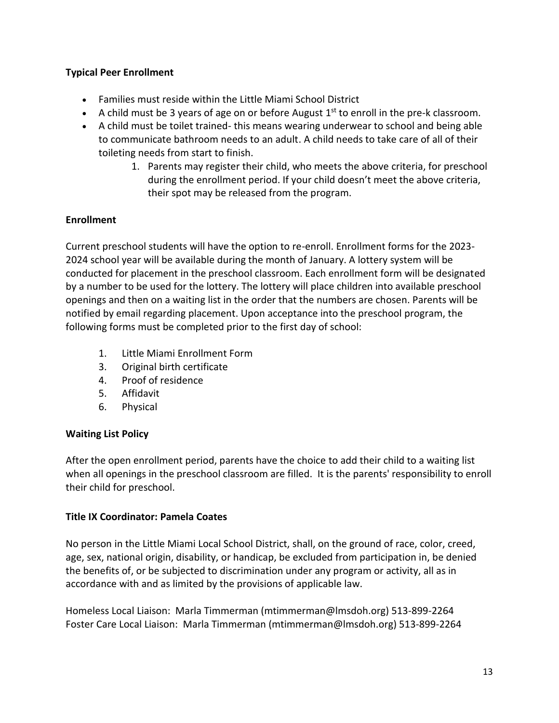# **Typical Peer Enrollment**

- Families must reside within the Little Miami School District
- A child must be 3 years of age on or before August  $1<sup>st</sup>$  to enroll in the pre-k classroom.
- A child must be toilet trained- this means wearing underwear to school and being able to communicate bathroom needs to an adult. A child needs to take care of all of their toileting needs from start to finish.
	- 1. Parents may register their child, who meets the above criteria, for preschool during the enrollment period. If your child doesn't meet the above criteria, their spot may be released from the program.

# **Enrollment**

Current preschool students will have the option to re-enroll. Enrollment forms for the 2023- 2024 school year will be available during the month of January. A lottery system will be conducted for placement in the preschool classroom. Each enrollment form will be designated by a number to be used for the lottery. The lottery will place children into available preschool openings and then on a waiting list in the order that the numbers are chosen. Parents will be notified by email regarding placement. Upon acceptance into the preschool program, the following forms must be completed prior to the first day of school:

- 1. Little Miami Enrollment Form
- 3. Original birth certificate
- 4. Proof of residence
- 5. Affidavit
- 6. Physical

# **Waiting List Policy**

After the open enrollment period, parents have the choice to add their child to a waiting list when all openings in the preschool classroom are filled. It is the parents' responsibility to enroll their child for preschool.

# **Title IX Coordinator: Pamela Coates**

No person in the Little Miami Local School District, shall, on the ground of race, color, creed, age, sex, national origin, disability, or handicap, be excluded from participation in, be denied the benefits of, or be subjected to discrimination under any program or activity, all as in accordance with and as limited by the provisions of applicable law.

Homeless Local Liaison: Marla Timmerman (mtimmerman@lmsdoh.org) 513-899-2264 Foster Care Local Liaison: Marla Timmerman (mtimmerman@lmsdoh.org) 513-899-2264